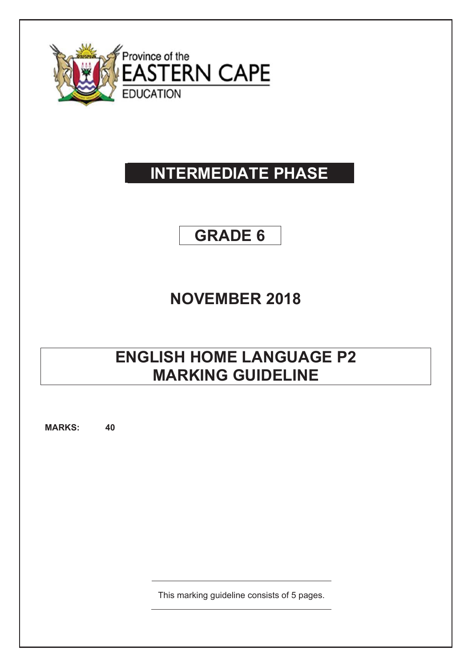

# **INTERMEDIATE PHASE**

# **GRADE 6**

### **NOVEMBER 2018**

## **ENGLISH HOME LANGUAGE P2 MARKING GUIDELINE**

**MARKS: 40**

This marking guideline consists of 5 pages.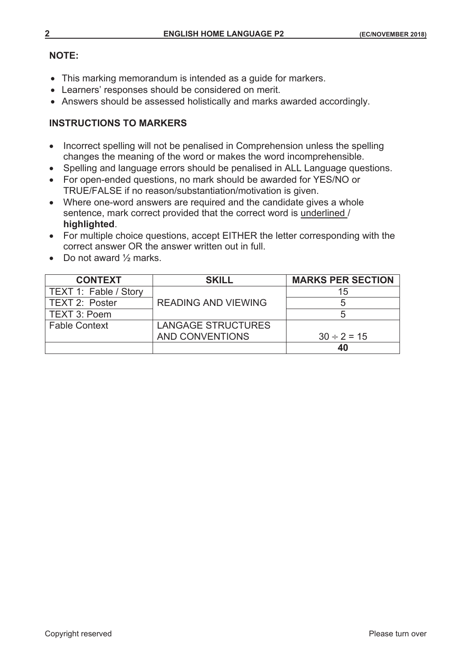#### **NOTE:**

- This marking memorandum is intended as a guide for markers.
- Learners' responses should be considered on merit.
- Answers should be assessed holistically and marks awarded accordingly.

#### **INSTRUCTIONS TO MARKERS**

- Incorrect spelling will not be penalised in Comprehension unless the spelling changes the meaning of the word or makes the word incomprehensible.
- Spelling and language errors should be penalised in ALL Language questions.
- For open-ended questions, no mark should be awarded for YES/NO or TRUE/FALSE if no reason/substantiation/motivation is given.
- Where one-word answers are required and the candidate gives a whole sentence, mark correct provided that the correct word is underlined / **highlighted**.
- For multiple choice questions, accept EITHER the letter corresponding with the correct answer OR the answer written out in full.
- Do not award  $\frac{1}{2}$  marks.

| <b>CONTEXT</b>        | <b>SKILL</b>               | <b>MARKS PER SECTION</b> |
|-----------------------|----------------------------|--------------------------|
| TEXT 1: Fable / Story |                            | 15                       |
| TEXT 2: Poster        | <b>READING AND VIEWING</b> |                          |
| TEXT 3: Poem          |                            |                          |
| <b>Fable Context</b>  | <b>LANGAGE STRUCTURES</b>  |                          |
|                       | AND CONVENTIONS            | $30 \div 2 = 15$         |
|                       |                            | 40                       |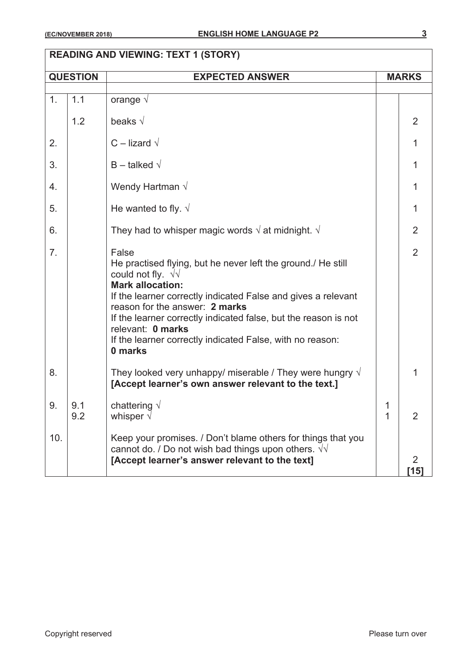|                | <b>QUESTION</b> | <b>EXPECTED ANSWER</b>                                                                                                                                                                                                                                                                                                                                                                           |        | <b>MARKS</b>           |  |
|----------------|-----------------|--------------------------------------------------------------------------------------------------------------------------------------------------------------------------------------------------------------------------------------------------------------------------------------------------------------------------------------------------------------------------------------------------|--------|------------------------|--|
| 1.             | 1.1             | orange $\sqrt{ }$                                                                                                                                                                                                                                                                                                                                                                                |        |                        |  |
|                | 1.2             | beaks $\sqrt{}$                                                                                                                                                                                                                                                                                                                                                                                  |        | 2                      |  |
| 2.             |                 | $C$ – lizard $\sqrt{ }$                                                                                                                                                                                                                                                                                                                                                                          |        | 1                      |  |
| 3.             |                 | $B$ – talked $\sqrt{}$                                                                                                                                                                                                                                                                                                                                                                           |        | 1                      |  |
| 4.             |                 | Wendy Hartman $\sqrt$                                                                                                                                                                                                                                                                                                                                                                            |        | 1                      |  |
| 5.             |                 | He wanted to fly. $\sqrt{ }$                                                                                                                                                                                                                                                                                                                                                                     |        | 1                      |  |
| 6.             |                 | They had to whisper magic words $\sqrt{ }$ at midnight. $\sqrt{ }$                                                                                                                                                                                                                                                                                                                               |        | 2                      |  |
| 7 <sub>1</sub> |                 | False<br>He practised flying, but he never left the ground./ He still<br>could not fly. $\sqrt{v}$<br><b>Mark allocation:</b><br>If the learner correctly indicated False and gives a relevant<br>reason for the answer: 2 marks<br>If the learner correctly indicated false, but the reason is not<br>relevant: 0 marks<br>If the learner correctly indicated False, with no reason:<br>0 marks |        | $\overline{2}$         |  |
| 8.             |                 | They looked very unhappy/ miserable / They were hungry $\sqrt{ }$<br>[Accept learner's own answer relevant to the text.]                                                                                                                                                                                                                                                                         |        |                        |  |
| 9.             | 9.1<br>9.2      | chattering $\sqrt{ }$<br>whisper $\sqrt{}$                                                                                                                                                                                                                                                                                                                                                       | 1<br>1 | $\overline{2}$         |  |
| 10.            |                 | Keep your promises. / Don't blame others for things that you<br>cannot do. / Do not wish bad things upon others. $\sqrt{v}$<br>[Accept learner's answer relevant to the text]                                                                                                                                                                                                                    |        | $\overline{2}$<br>[15] |  |

#### **READING AND VIEWING: TEXT 1 (STORY)**

┑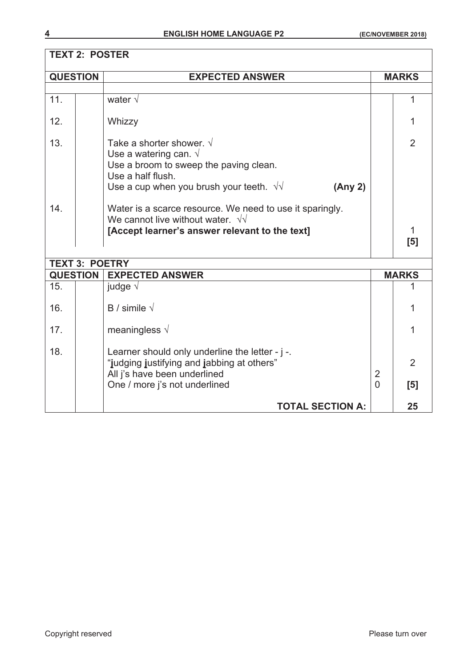### **TEXT 2: POSTER**

| <b>QUESTION</b>       | <b>EXPECTED ANSWER</b>                                                                                                                                                                           | <b>MARKS</b> |              |  |  |
|-----------------------|--------------------------------------------------------------------------------------------------------------------------------------------------------------------------------------------------|--------------|--------------|--|--|
|                       |                                                                                                                                                                                                  |              |              |  |  |
| 11.                   | water $\sqrt{ }$                                                                                                                                                                                 |              |              |  |  |
| 12.                   | Whizzy                                                                                                                                                                                           |              |              |  |  |
| 13.                   | Take a shorter shower. $\sqrt{ }$<br>Use a watering can. $\sqrt{ }$<br>Use a broom to sweep the paving clean.<br>Use a half flush.<br>Use a cup when you brush your teeth. $\sqrt{v}$<br>(Any 2) |              | 2            |  |  |
| 14.                   | Water is a scarce resource. We need to use it sparingly.<br>We cannot live without water. $\sqrt{v}$<br>[Accept learner's answer relevant to the text]                                           |              | [5]          |  |  |
| <b>TEXT 3: POETRY</b> |                                                                                                                                                                                                  |              |              |  |  |
|                       | <b>QUESTION</b><br><b>EXPECTED ANSWER</b>                                                                                                                                                        |              | <b>MARKS</b> |  |  |
| 15.                   | judge $\sqrt{ }$                                                                                                                                                                                 |              |              |  |  |
| 16.                   | B / simile $\sqrt$                                                                                                                                                                               |              |              |  |  |

17.  $\parallel$  meaningless √ 17.

"**j**udging **j**ustifying and **j**abbing at others" 2

One / more j's not underlined **by a contract of the set of the set of the set of the set of the set of the set of the set of the set of the set of the set of the set of the set of the set of the set of the set of the set o** 

**TOTAL SECTION A: 25** 

All j's have been underlined 2

18.  $\vert$  [ Learner should only underline the letter -  $j$  -.